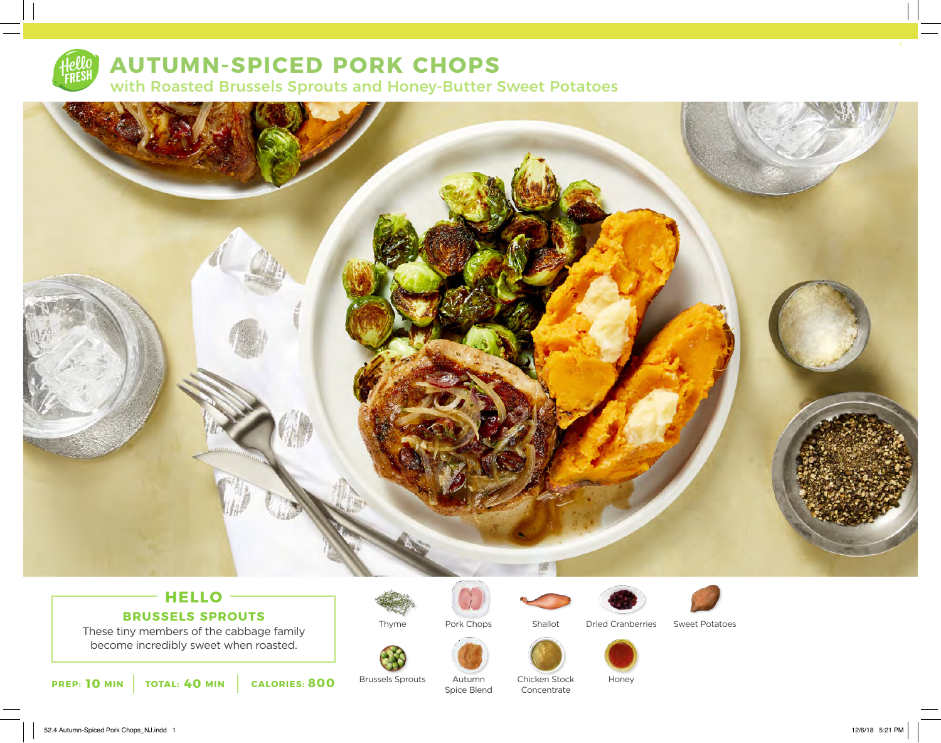

## **AUTUMN-SPICED PORK CHOPS**

with Roasted Brussels Sprouts and Honey-Butter Sweet Potatoes



### **HELLO BRUSSELS SPROUTS**

These tiny members of the cabbage family become incredibly sweet when roasted.



Brussels Sprouts

Thyme



Pork Chops

Autumn Spice Blend



Chicken Stock Concentrate



Dried Cranberries Sweet Potatoes